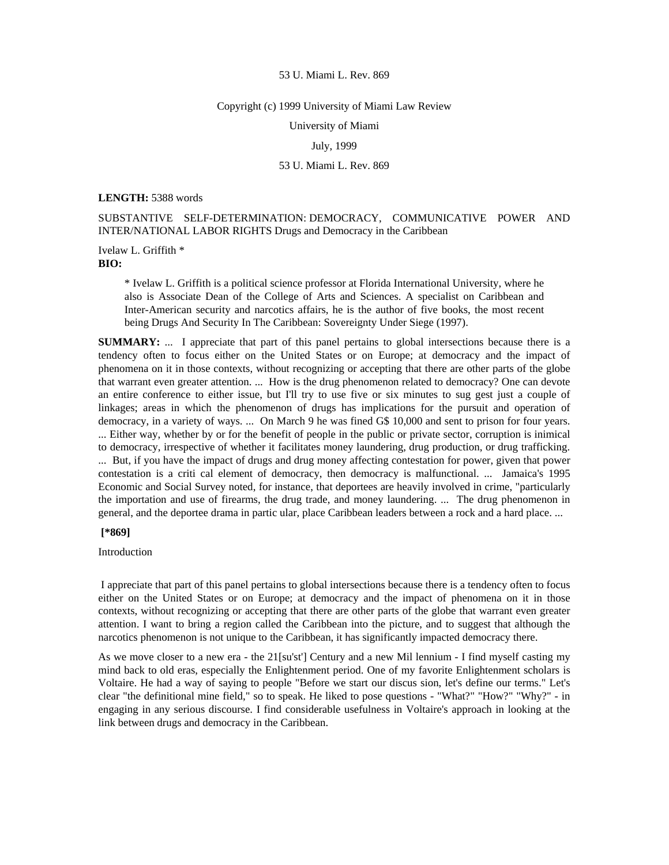#### Copyright (c) 1999 University of Miami Law Review

University of Miami

### July, 1999

# 53 U. Miami L. Rev. 869

#### **LENGTH:** 5388 words

SUBSTANTIVE SELF-DETERMINATION: DEMOCRACY, COMMUNICATIVE POWER AND INTER/NATIONAL LABOR RIGHTS Drugs and Democracy in the Caribbean

Ivelaw L. Griffith \* **BIO:** 

> \* Ivelaw L. Griffith is a political science professor at Florida International University, where he also is Associate Dean of the College of Arts and Sciences. A specialist on Caribbean and Inter-American security and narcotics affairs, he is the author of five books, the most recent being Drugs And Security In The Caribbean: Sovereignty Under Siege (1997).

**SUMMARY:** ... I appreciate that part of this panel pertains to global intersections because there is a tendency often to focus either on the United States or on Europe; at democracy and the impact of phenomena on it in those contexts, without recognizing or accepting that there are other parts of the globe that warrant even greater attention. ... How is the drug phenomenon related to democracy? One can devote an entire conference to either issue, but I'll try to use five or six minutes to sug gest just a couple of linkages; areas in which the phenomenon of drugs has implications for the pursuit and operation of democracy, in a variety of ways. ... On March 9 he was fined G\$ 10,000 and sent to prison for four years. ... Either way, whether by or for the benefit of people in the public or private sector, corruption is inimical to democracy, irrespective of whether it facilitates money laundering, drug production, or drug trafficking. ... But, if you have the impact of drugs and drug money affecting contestation for power, given that power contestation is a criti cal element of democracy, then democracy is malfunctional. ... Jamaica's 1995 Economic and Social Survey noted, for instance, that deportees are heavily involved in crime, "particularly the importation and use of firearms, the drug trade, and money laundering. ... The drug phenomenon in general, and the deportee drama in partic ular, place Caribbean leaders between a rock and a hard place. ...

# **[\*869]**

# Introduction

 I appreciate that part of this panel pertains to global intersections because there is a tendency often to focus either on the United States or on Europe; at democracy and the impact of phenomena on it in those contexts, without recognizing or accepting that there are other parts of the globe that warrant even greater attention. I want to bring a region called the Caribbean into the picture, and to suggest that although the narcotics phenomenon is not unique to the Caribbean, it has significantly impacted democracy there.

As we move closer to a new era - the 21[su'st'] Century and a new Mil lennium - I find myself casting my mind back to old eras, especially the Enlightenment period. One of my favorite Enlightenment scholars is Voltaire. He had a way of saying to people "Before we start our discus sion, let's define our terms." Let's clear "the definitional mine field," so to speak. He liked to pose questions - "What?" "How?" "Why?" - in engaging in any serious discourse. I find considerable usefulness in Voltaire's approach in looking at the link between drugs and democracy in the Caribbean.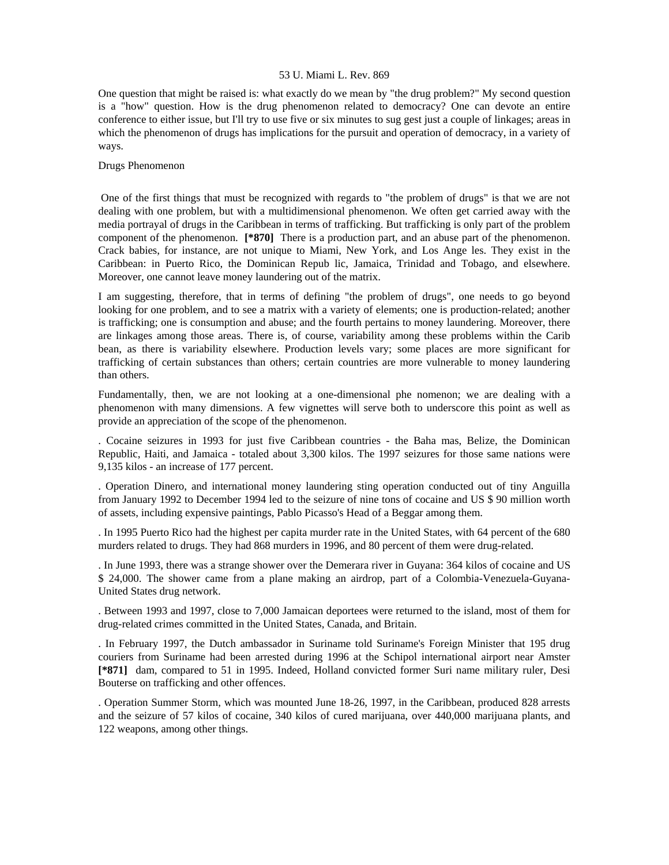One question that might be raised is: what exactly do we mean by "the drug problem?" My second question is a "how" question. How is the drug phenomenon related to democracy? One can devote an entire conference to either issue, but I'll try to use five or six minutes to sug gest just a couple of linkages; areas in which the phenomenon of drugs has implications for the pursuit and operation of democracy, in a variety of ways.

### Drugs Phenomenon

 One of the first things that must be recognized with regards to "the problem of drugs" is that we are not dealing with one problem, but with a multidimensional phenomenon. We often get carried away with the media portrayal of drugs in the Caribbean in terms of trafficking. But trafficking is only part of the problem component of the phenomenon. **[\*870]** There is a production part, and an abuse part of the phenomenon. Crack babies, for instance, are not unique to Miami, New York, and Los Ange les. They exist in the Caribbean: in Puerto Rico, the Dominican Repub lic, Jamaica, Trinidad and Tobago, and elsewhere. Moreover, one cannot leave money laundering out of the matrix.

I am suggesting, therefore, that in terms of defining "the problem of drugs", one needs to go beyond looking for one problem, and to see a matrix with a variety of elements; one is production-related; another is trafficking; one is consumption and abuse; and the fourth pertains to money laundering. Moreover, there are linkages among those areas. There is, of course, variability among these problems within the Carib bean, as there is variability elsewhere. Production levels vary; some places are more significant for trafficking of certain substances than others; certain countries are more vulnerable to money laundering than others.

Fundamentally, then, we are not looking at a one-dimensional phe nomenon; we are dealing with a phenomenon with many dimensions. A few vignettes will serve both to underscore this point as well as provide an appreciation of the scope of the phenomenon.

. Cocaine seizures in 1993 for just five Caribbean countries - the Baha mas, Belize, the Dominican Republic, Haiti, and Jamaica - totaled about 3,300 kilos. The 1997 seizures for those same nations were 9,135 kilos - an increase of 177 percent.

. Operation Dinero, and international money laundering sting operation conducted out of tiny Anguilla from January 1992 to December 1994 led to the seizure of nine tons of cocaine and US \$ 90 million worth of assets, including expensive paintings, Pablo Picasso's Head of a Beggar among them.

. In 1995 Puerto Rico had the highest per capita murder rate in the United States, with 64 percent of the 680 murders related to drugs. They had 868 murders in 1996, and 80 percent of them were drug-related.

. In June 1993, there was a strange shower over the Demerara river in Guyana: 364 kilos of cocaine and US \$ 24,000. The shower came from a plane making an airdrop, part of a Colombia-Venezuela-Guyana-United States drug network.

. Between 1993 and 1997, close to 7,000 Jamaican deportees were returned to the island, most of them for drug-related crimes committed in the United States, Canada, and Britain.

. In February 1997, the Dutch ambassador in Suriname told Suriname's Foreign Minister that 195 drug couriers from Suriname had been arrested during 1996 at the Schipol international airport near Amster **[\*871]** dam, compared to 51 in 1995. Indeed, Holland convicted former Suri name military ruler, Desi Bouterse on trafficking and other offences.

. Operation Summer Storm, which was mounted June 18-26, 1997, in the Caribbean, produced 828 arrests and the seizure of 57 kilos of cocaine, 340 kilos of cured marijuana, over 440,000 marijuana plants, and 122 weapons, among other things.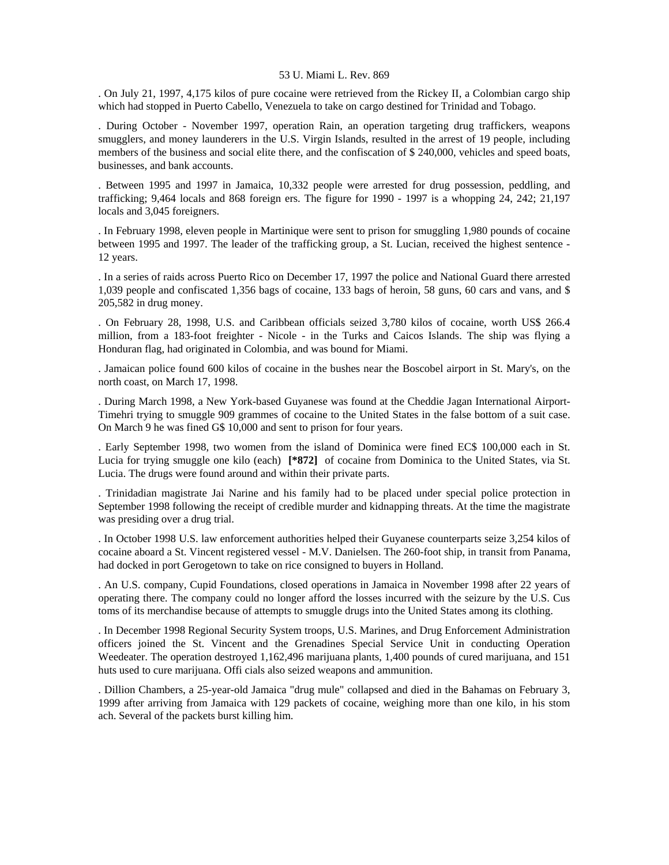. On July 21, 1997, 4,175 kilos of pure cocaine were retrieved from the Rickey II, a Colombian cargo ship which had stopped in Puerto Cabello, Venezuela to take on cargo destined for Trinidad and Tobago.

. During October - November 1997, operation Rain, an operation targeting drug traffickers, weapons smugglers, and money launderers in the U.S. Virgin Islands, resulted in the arrest of 19 people, including members of the business and social elite there, and the confiscation of \$ 240,000, vehicles and speed boats, businesses, and bank accounts.

. Between 1995 and 1997 in Jamaica, 10,332 people were arrested for drug possession, peddling, and trafficking; 9,464 locals and 868 foreign ers. The figure for 1990 - 1997 is a whopping 24, 242; 21,197 locals and 3,045 foreigners.

. In February 1998, eleven people in Martinique were sent to prison for smuggling 1,980 pounds of cocaine between 1995 and 1997. The leader of the trafficking group, a St. Lucian, received the highest sentence - 12 years.

. In a series of raids across Puerto Rico on December 17, 1997 the police and National Guard there arrested 1,039 people and confiscated 1,356 bags of cocaine, 133 bags of heroin, 58 guns, 60 cars and vans, and \$ 205,582 in drug money.

. On February 28, 1998, U.S. and Caribbean officials seized 3,780 kilos of cocaine, worth US\$ 266.4 million, from a 183-foot freighter - Nicole - in the Turks and Caicos Islands. The ship was flying a Honduran flag, had originated in Colombia, and was bound for Miami.

. Jamaican police found 600 kilos of cocaine in the bushes near the Boscobel airport in St. Mary's, on the north coast, on March 17, 1998.

. During March 1998, a New York-based Guyanese was found at the Cheddie Jagan International Airport-Timehri trying to smuggle 909 grammes of cocaine to the United States in the false bottom of a suit case. On March 9 he was fined G\$ 10,000 and sent to prison for four years.

. Early September 1998, two women from the island of Dominica were fined EC\$ 100,000 each in St. Lucia for trying smuggle one kilo (each) **[\*872]** of cocaine from Dominica to the United States, via St. Lucia. The drugs were found around and within their private parts.

. Trinidadian magistrate Jai Narine and his family had to be placed under special police protection in September 1998 following the receipt of credible murder and kidnapping threats. At the time the magistrate was presiding over a drug trial.

. In October 1998 U.S. law enforcement authorities helped their Guyanese counterparts seize 3,254 kilos of cocaine aboard a St. Vincent registered vessel - M.V. Danielsen. The 260-foot ship, in transit from Panama, had docked in port Gerogetown to take on rice consigned to buyers in Holland.

. An U.S. company, Cupid Foundations, closed operations in Jamaica in November 1998 after 22 years of operating there. The company could no longer afford the losses incurred with the seizure by the U.S. Cus toms of its merchandise because of attempts to smuggle drugs into the United States among its clothing.

. In December 1998 Regional Security System troops, U.S. Marines, and Drug Enforcement Administration officers joined the St. Vincent and the Grenadines Special Service Unit in conducting Operation Weedeater. The operation destroyed 1,162,496 marijuana plants, 1,400 pounds of cured marijuana, and 151 huts used to cure marijuana. Offi cials also seized weapons and ammunition.

. Dillion Chambers, a 25-year-old Jamaica "drug mule" collapsed and died in the Bahamas on February 3, 1999 after arriving from Jamaica with 129 packets of cocaine, weighing more than one kilo, in his stom ach. Several of the packets burst killing him.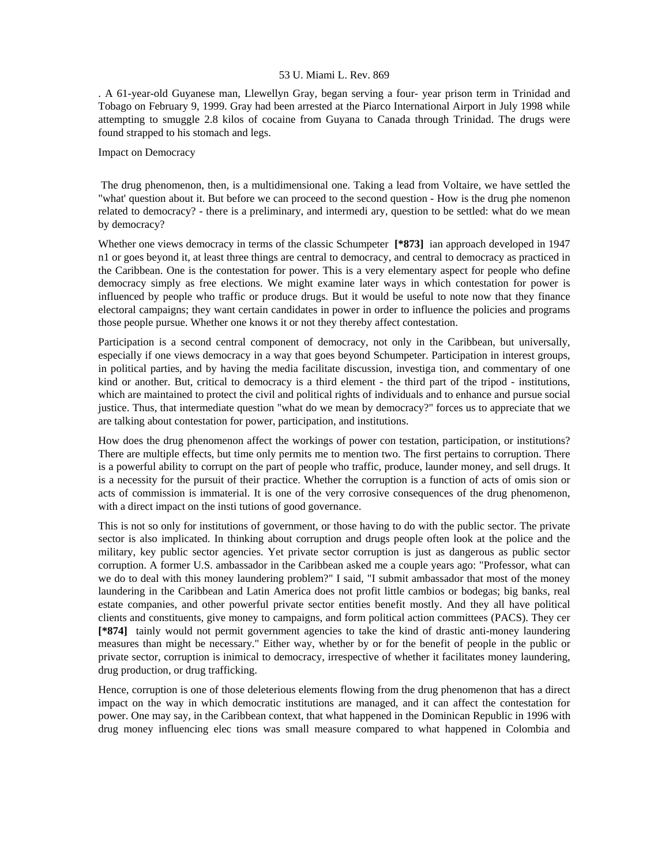. A 61-year-old Guyanese man, Llewellyn Gray, began serving a four- year prison term in Trinidad and Tobago on February 9, 1999. Gray had been arrested at the Piarco International Airport in July 1998 while attempting to smuggle 2.8 kilos of cocaine from Guyana to Canada through Trinidad. The drugs were found strapped to his stomach and legs.

# Impact on Democracy

 The drug phenomenon, then, is a multidimensional one. Taking a lead from Voltaire, we have settled the "what' question about it. But before we can proceed to the second question - How is the drug phe nomenon related to democracy? - there is a preliminary, and intermedi ary, question to be settled: what do we mean by democracy?

Whether one views democracy in terms of the classic Schumpeter **[\*873]** ian approach developed in 1947 n1 or goes beyond it, at least three things are central to democracy, and central to democracy as practiced in the Caribbean. One is the contestation for power. This is a very elementary aspect for people who define democracy simply as free elections. We might examine later ways in which contestation for power is influenced by people who traffic or produce drugs. But it would be useful to note now that they finance electoral campaigns; they want certain candidates in power in order to influence the policies and programs those people pursue. Whether one knows it or not they thereby affect contestation.

Participation is a second central component of democracy, not only in the Caribbean, but universally, especially if one views democracy in a way that goes beyond Schumpeter. Participation in interest groups, in political parties, and by having the media facilitate discussion, investiga tion, and commentary of one kind or another. But, critical to democracy is a third element - the third part of the tripod - institutions, which are maintained to protect the civil and political rights of individuals and to enhance and pursue social justice. Thus, that intermediate question "what do we mean by democracy?" forces us to appreciate that we are talking about contestation for power, participation, and institutions.

How does the drug phenomenon affect the workings of power con testation, participation, or institutions? There are multiple effects, but time only permits me to mention two. The first pertains to corruption. There is a powerful ability to corrupt on the part of people who traffic, produce, launder money, and sell drugs. It is a necessity for the pursuit of their practice. Whether the corruption is a function of acts of omis sion or acts of commission is immaterial. It is one of the very corrosive consequences of the drug phenomenon, with a direct impact on the insti tutions of good governance.

This is not so only for institutions of government, or those having to do with the public sector. The private sector is also implicated. In thinking about corruption and drugs people often look at the police and the military, key public sector agencies. Yet private sector corruption is just as dangerous as public sector corruption. A former U.S. ambassador in the Caribbean asked me a couple years ago: "Professor, what can we do to deal with this money laundering problem?" I said, "I submit ambassador that most of the money laundering in the Caribbean and Latin America does not profit little cambios or bodegas; big banks, real estate companies, and other powerful private sector entities benefit mostly. And they all have political clients and constituents, give money to campaigns, and form political action committees (PACS). They cer **[\*874]** tainly would not permit government agencies to take the kind of drastic anti-money laundering measures than might be necessary." Either way, whether by or for the benefit of people in the public or private sector, corruption is inimical to democracy, irrespective of whether it facilitates money laundering, drug production, or drug trafficking.

Hence, corruption is one of those deleterious elements flowing from the drug phenomenon that has a direct impact on the way in which democratic institutions are managed, and it can affect the contestation for power. One may say, in the Caribbean context, that what happened in the Dominican Republic in 1996 with drug money influencing elec tions was small measure compared to what happened in Colombia and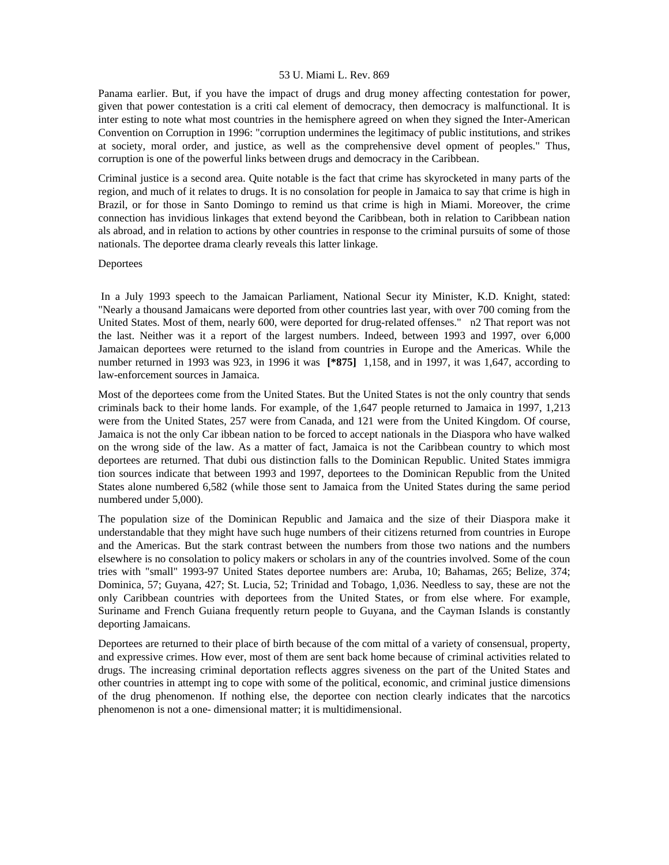Panama earlier. But, if you have the impact of drugs and drug money affecting contestation for power, given that power contestation is a criti cal element of democracy, then democracy is malfunctional. It is inter esting to note what most countries in the hemisphere agreed on when they signed the Inter-American Convention on Corruption in 1996: "corruption undermines the legitimacy of public institutions, and strikes at society, moral order, and justice, as well as the comprehensive devel opment of peoples." Thus, corruption is one of the powerful links between drugs and democracy in the Caribbean.

Criminal justice is a second area. Quite notable is the fact that crime has skyrocketed in many parts of the region, and much of it relates to drugs. It is no consolation for people in Jamaica to say that crime is high in Brazil, or for those in Santo Domingo to remind us that crime is high in Miami. Moreover, the crime connection has invidious linkages that extend beyond the Caribbean, both in relation to Caribbean nation als abroad, and in relation to actions by other countries in response to the criminal pursuits of some of those nationals. The deportee drama clearly reveals this latter linkage.

# **Deportees**

 In a July 1993 speech to the Jamaican Parliament, National Secur ity Minister, K.D. Knight, stated: "Nearly a thousand Jamaicans were deported from other countries last year, with over 700 coming from the United States. Most of them, nearly 600, were deported for drug-related offenses." n2 That report was not the last. Neither was it a report of the largest numbers. Indeed, between 1993 and 1997, over 6,000 Jamaican deportees were returned to the island from countries in Europe and the Americas. While the number returned in 1993 was 923, in 1996 it was **[\*875]** 1,158, and in 1997, it was 1,647, according to law-enforcement sources in Jamaica.

Most of the deportees come from the United States. But the United States is not the only country that sends criminals back to their home lands. For example, of the 1,647 people returned to Jamaica in 1997, 1,213 were from the United States, 257 were from Canada, and 121 were from the United Kingdom. Of course, Jamaica is not the only Car ibbean nation to be forced to accept nationals in the Diaspora who have walked on the wrong side of the law. As a matter of fact, Jamaica is not the Caribbean country to which most deportees are returned. That dubi ous distinction falls to the Dominican Republic. United States immigra tion sources indicate that between 1993 and 1997, deportees to the Dominican Republic from the United States alone numbered 6,582 (while those sent to Jamaica from the United States during the same period numbered under 5,000).

The population size of the Dominican Republic and Jamaica and the size of their Diaspora make it understandable that they might have such huge numbers of their citizens returned from countries in Europe and the Americas. But the stark contrast between the numbers from those two nations and the numbers elsewhere is no consolation to policy makers or scholars in any of the countries involved. Some of the coun tries with "small" 1993-97 United States deportee numbers are: Aruba, 10; Bahamas, 265; Belize, 374; Dominica, 57; Guyana, 427; St. Lucia, 52; Trinidad and Tobago, 1,036. Needless to say, these are not the only Caribbean countries with deportees from the United States, or from else where. For example, Suriname and French Guiana frequently return people to Guyana, and the Cayman Islands is constantly deporting Jamaicans.

Deportees are returned to their place of birth because of the com mittal of a variety of consensual, property, and expressive crimes. How ever, most of them are sent back home because of criminal activities related to drugs. The increasing criminal deportation reflects aggres siveness on the part of the United States and other countries in attempt ing to cope with some of the political, economic, and criminal justice dimensions of the drug phenomenon. If nothing else, the deportee con nection clearly indicates that the narcotics phenomenon is not a one- dimensional matter; it is multidimensional.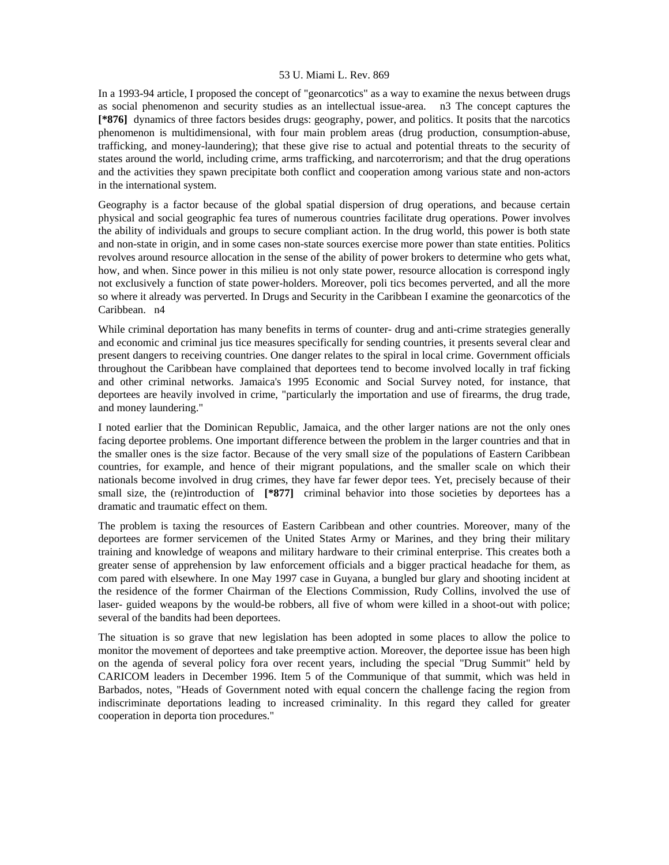In a 1993-94 article, I proposed the concept of "geonarcotics" as a way to examine the nexus between drugs as social phenomenon and security studies as an intellectual issue-area. n3 The concept captures the **[\*876]** dynamics of three factors besides drugs: geography, power, and politics. It posits that the narcotics phenomenon is multidimensional, with four main problem areas (drug production, consumption-abuse, trafficking, and money-laundering); that these give rise to actual and potential threats to the security of states around the world, including crime, arms trafficking, and narcoterrorism; and that the drug operations and the activities they spawn precipitate both conflict and cooperation among various state and non-actors in the international system.

Geography is a factor because of the global spatial dispersion of drug operations, and because certain physical and social geographic fea tures of numerous countries facilitate drug operations. Power involves the ability of individuals and groups to secure compliant action. In the drug world, this power is both state and non-state in origin, and in some cases non-state sources exercise more power than state entities. Politics revolves around resource allocation in the sense of the ability of power brokers to determine who gets what, how, and when. Since power in this milieu is not only state power, resource allocation is correspond ingly not exclusively a function of state power-holders. Moreover, poli tics becomes perverted, and all the more so where it already was perverted. In Drugs and Security in the Caribbean I examine the geonarcotics of the Caribbean. n4

While criminal deportation has many benefits in terms of counter- drug and anti-crime strategies generally and economic and criminal jus tice measures specifically for sending countries, it presents several clear and present dangers to receiving countries. One danger relates to the spiral in local crime. Government officials throughout the Caribbean have complained that deportees tend to become involved locally in traf ficking and other criminal networks. Jamaica's 1995 Economic and Social Survey noted, for instance, that deportees are heavily involved in crime, "particularly the importation and use of firearms, the drug trade, and money laundering."

I noted earlier that the Dominican Republic, Jamaica, and the other larger nations are not the only ones facing deportee problems. One important difference between the problem in the larger countries and that in the smaller ones is the size factor. Because of the very small size of the populations of Eastern Caribbean countries, for example, and hence of their migrant populations, and the smaller scale on which their nationals become involved in drug crimes, they have far fewer depor tees. Yet, precisely because of their small size, the (re)introduction of [\*877] criminal behavior into those societies by deportees has a dramatic and traumatic effect on them.

The problem is taxing the resources of Eastern Caribbean and other countries. Moreover, many of the deportees are former servicemen of the United States Army or Marines, and they bring their military training and knowledge of weapons and military hardware to their criminal enterprise. This creates both a greater sense of apprehension by law enforcement officials and a bigger practical headache for them, as com pared with elsewhere. In one May 1997 case in Guyana, a bungled bur glary and shooting incident at the residence of the former Chairman of the Elections Commission, Rudy Collins, involved the use of laser- guided weapons by the would-be robbers, all five of whom were killed in a shoot-out with police; several of the bandits had been deportees.

The situation is so grave that new legislation has been adopted in some places to allow the police to monitor the movement of deportees and take preemptive action. Moreover, the deportee issue has been high on the agenda of several policy fora over recent years, including the special "Drug Summit" held by CARICOM leaders in December 1996. Item 5 of the Communique of that summit, which was held in Barbados, notes, "Heads of Government noted with equal concern the challenge facing the region from indiscriminate deportations leading to increased criminality. In this regard they called for greater cooperation in deporta tion procedures."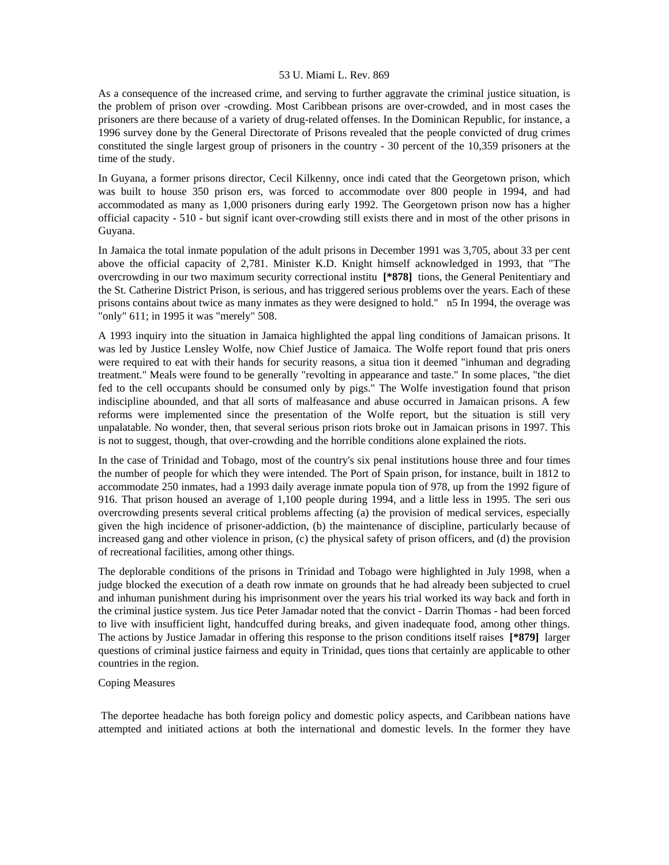As a consequence of the increased crime, and serving to further aggravate the criminal justice situation, is the problem of prison over -crowding. Most Caribbean prisons are over-crowded, and in most cases the prisoners are there because of a variety of drug-related offenses. In the Dominican Republic, for instance, a 1996 survey done by the General Directorate of Prisons revealed that the people convicted of drug crimes constituted the single largest group of prisoners in the country - 30 percent of the 10,359 prisoners at the time of the study.

In Guyana, a former prisons director, Cecil Kilkenny, once indi cated that the Georgetown prison, which was built to house 350 prison ers, was forced to accommodate over 800 people in 1994, and had accommodated as many as 1,000 prisoners during early 1992. The Georgetown prison now has a higher official capacity - 510 - but signif icant over-crowding still exists there and in most of the other prisons in Guyana.

In Jamaica the total inmate population of the adult prisons in December 1991 was 3,705, about 33 per cent above the official capacity of 2,781. Minister K.D. Knight himself acknowledged in 1993, that "The overcrowding in our two maximum security correctional institu **[\*878]** tions, the General Penitentiary and the St. Catherine District Prison, is serious, and has triggered serious problems over the years. Each of these prisons contains about twice as many inmates as they were designed to hold." n5 In 1994, the overage was "only" 611; in 1995 it was "merely" 508.

A 1993 inquiry into the situation in Jamaica highlighted the appal ling conditions of Jamaican prisons. It was led by Justice Lensley Wolfe, now Chief Justice of Jamaica. The Wolfe report found that pris oners were required to eat with their hands for security reasons, a situa tion it deemed "inhuman and degrading treatment." Meals were found to be generally "revolting in appearance and taste." In some places, "the diet fed to the cell occupants should be consumed only by pigs." The Wolfe investigation found that prison indiscipline abounded, and that all sorts of malfeasance and abuse occurred in Jamaican prisons. A few reforms were implemented since the presentation of the Wolfe report, but the situation is still very unpalatable. No wonder, then, that several serious prison riots broke out in Jamaican prisons in 1997. This is not to suggest, though, that over-crowding and the horrible conditions alone explained the riots.

In the case of Trinidad and Tobago, most of the country's six penal institutions house three and four times the number of people for which they were intended. The Port of Spain prison, for instance, built in 1812 to accommodate 250 inmates, had a 1993 daily average inmate popula tion of 978, up from the 1992 figure of 916. That prison housed an average of 1,100 people during 1994, and a little less in 1995. The seri ous overcrowding presents several critical problems affecting (a) the provision of medical services, especially given the high incidence of prisoner-addiction, (b) the maintenance of discipline, particularly because of increased gang and other violence in prison, (c) the physical safety of prison officers, and (d) the provision of recreational facilities, among other things.

The deplorable conditions of the prisons in Trinidad and Tobago were highlighted in July 1998, when a judge blocked the execution of a death row inmate on grounds that he had already been subjected to cruel and inhuman punishment during his imprisonment over the years his trial worked its way back and forth in the criminal justice system. Jus tice Peter Jamadar noted that the convict - Darrin Thomas - had been forced to live with insufficient light, handcuffed during breaks, and given inadequate food, among other things. The actions by Justice Jamadar in offering this response to the prison conditions itself raises **[\*879]** larger questions of criminal justice fairness and equity in Trinidad, ques tions that certainly are applicable to other countries in the region.

# Coping Measures

 The deportee headache has both foreign policy and domestic policy aspects, and Caribbean nations have attempted and initiated actions at both the international and domestic levels. In the former they have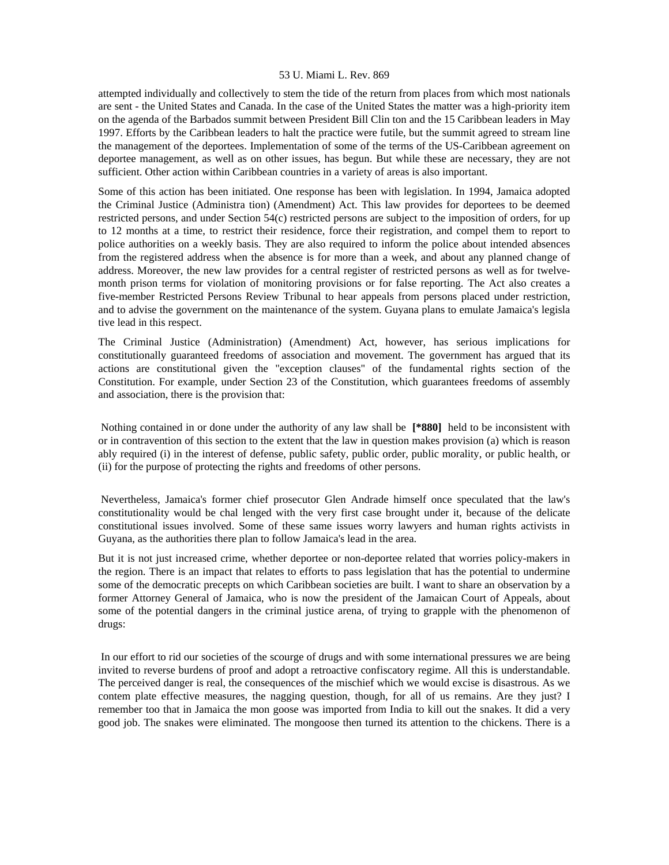attempted individually and collectively to stem the tide of the return from places from which most nationals are sent - the United States and Canada. In the case of the United States the matter was a high-priority item on the agenda of the Barbados summit between President Bill Clin ton and the 15 Caribbean leaders in May 1997. Efforts by the Caribbean leaders to halt the practice were futile, but the summit agreed to stream line the management of the deportees. Implementation of some of the terms of the US-Caribbean agreement on deportee management, as well as on other issues, has begun. But while these are necessary, they are not sufficient. Other action within Caribbean countries in a variety of areas is also important.

Some of this action has been initiated. One response has been with legislation. In 1994, Jamaica adopted the Criminal Justice (Administra tion) (Amendment) Act. This law provides for deportees to be deemed restricted persons, and under Section 54(c) restricted persons are subject to the imposition of orders, for up to 12 months at a time, to restrict their residence, force their registration, and compel them to report to police authorities on a weekly basis. They are also required to inform the police about intended absences from the registered address when the absence is for more than a week, and about any planned change of address. Moreover, the new law provides for a central register of restricted persons as well as for twelvemonth prison terms for violation of monitoring provisions or for false reporting. The Act also creates a five-member Restricted Persons Review Tribunal to hear appeals from persons placed under restriction, and to advise the government on the maintenance of the system. Guyana plans to emulate Jamaica's legisla tive lead in this respect.

The Criminal Justice (Administration) (Amendment) Act, however, has serious implications for constitutionally guaranteed freedoms of association and movement. The government has argued that its actions are constitutional given the "exception clauses" of the fundamental rights section of the Constitution. For example, under Section 23 of the Constitution, which guarantees freedoms of assembly and association, there is the provision that:

 Nothing contained in or done under the authority of any law shall be **[\*880]** held to be inconsistent with or in contravention of this section to the extent that the law in question makes provision (a) which is reason ably required (i) in the interest of defense, public safety, public order, public morality, or public health, or (ii) for the purpose of protecting the rights and freedoms of other persons.

 Nevertheless, Jamaica's former chief prosecutor Glen Andrade himself once speculated that the law's constitutionality would be chal lenged with the very first case brought under it, because of the delicate constitutional issues involved. Some of these same issues worry lawyers and human rights activists in Guyana, as the authorities there plan to follow Jamaica's lead in the area.

But it is not just increased crime, whether deportee or non-deportee related that worries policy-makers in the region. There is an impact that relates to efforts to pass legislation that has the potential to undermine some of the democratic precepts on which Caribbean societies are built. I want to share an observation by a former Attorney General of Jamaica, who is now the president of the Jamaican Court of Appeals, about some of the potential dangers in the criminal justice arena, of trying to grapple with the phenomenon of drugs:

 In our effort to rid our societies of the scourge of drugs and with some international pressures we are being invited to reverse burdens of proof and adopt a retroactive confiscatory regime. All this is understandable. The perceived danger is real, the consequences of the mischief which we would excise is disastrous. As we contem plate effective measures, the nagging question, though, for all of us remains. Are they just? I remember too that in Jamaica the mon goose was imported from India to kill out the snakes. It did a very good job. The snakes were eliminated. The mongoose then turned its attention to the chickens. There is a